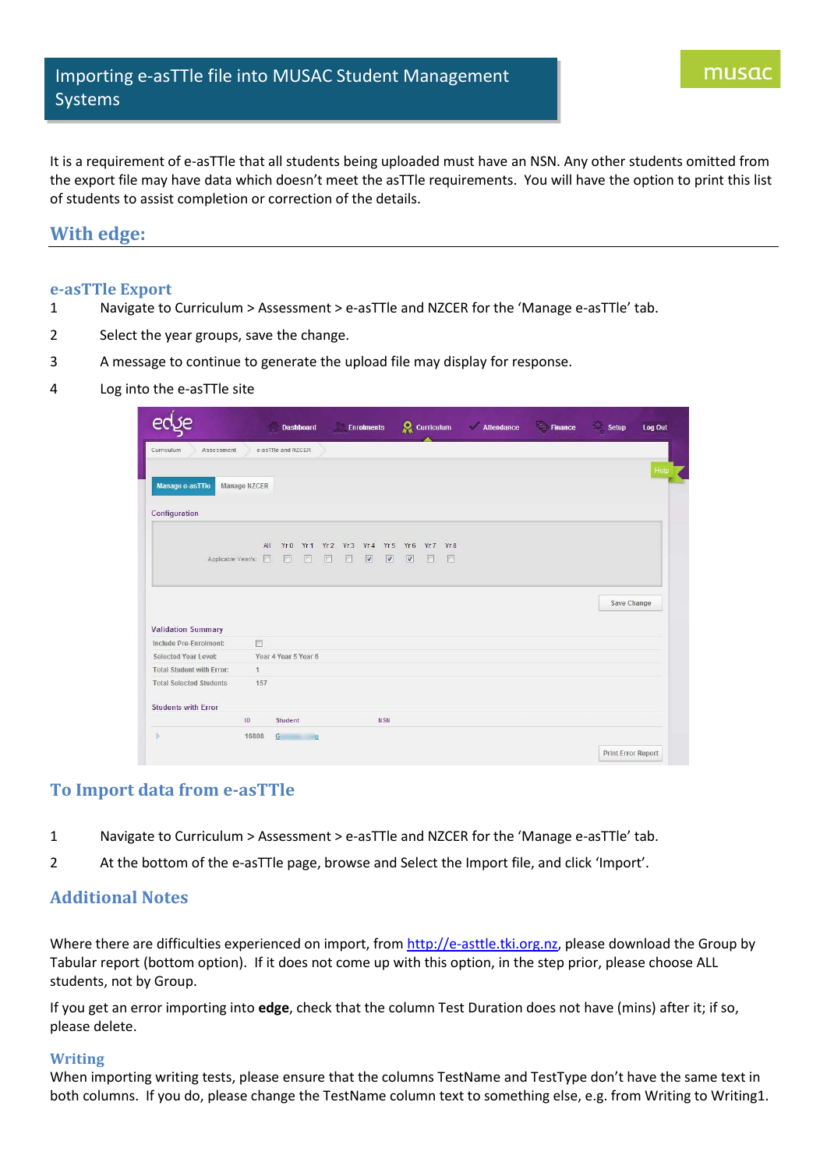It is a requirement of e-asTTle that all students being uploaded must have an NSN. Any other students omitted from the export file may have data which doesn't meet the asTTle requirements. You will have the option to print this list of students to assist completion or correction of the details.

musa

## **With edge:**

### **e-asTTle Export**

- 1 Navigate to Curriculum > Assessment > e-asTTle and NZCER for the 'Manage e-asTTle' tab.
- 2 Select the year groups, save the change.
- 3 A message to continue to generate the upload file may display for response.
- 4 Log into the e-asTTle site

|                                                  | <b>Dashboard</b>                                            | <b>Enrolments</b>                                                                                           | <b>R</b> Curriculum                                         | <b>Attendance</b><br>ℐ | S,<br><b>Finance</b> | <b>Log Out</b><br><b>Setup</b> |
|--------------------------------------------------|-------------------------------------------------------------|-------------------------------------------------------------------------------------------------------------|-------------------------------------------------------------|------------------------|----------------------|--------------------------------|
| Curriculum<br>Assessment                         | e-asTTle and NZCER                                          |                                                                                                             |                                                             |                        |                      |                                |
| Manage e-asTTle<br>Manage NZCER<br>Configuration |                                                             |                                                                                                             |                                                             |                        |                      | Help                           |
| Applicable Year/s:                               | All<br>Yr <sub>1</sub><br>Yr0<br>$\Box$<br>F<br><b>Inch</b> | Yr2 Yr3 Yr4<br>Yr <sub>5</sub><br>同<br>$\overline{\mathsf{v}}$<br>$\overline{\mathsf{v}}$<br>$\blacksquare$ | Yr6<br>Yr8<br>Yr7<br>$\overline{\mathbf{v}}$<br>$\Box$<br>E |                        |                      |                                |
| <b>Validation Summary</b>                        |                                                             |                                                                                                             |                                                             |                        |                      | Save Change                    |
| <b>Include Pre-Enrolment:</b>                    | $\Box$                                                      |                                                                                                             |                                                             |                        |                      |                                |
| Selected Year Level:                             | Year 4 Year 5 Year 6                                        |                                                                                                             |                                                             |                        |                      |                                |
| <b>Total Student with Error:</b>                 | $\mathbf{1}$                                                |                                                                                                             |                                                             |                        |                      |                                |
| <b>Total Selected Students</b>                   | 157                                                         |                                                                                                             |                                                             |                        |                      |                                |
| <b>Students with Error</b>                       |                                                             |                                                                                                             |                                                             |                        |                      |                                |
| ID                                               | Student                                                     | <b>NSN</b>                                                                                                  |                                                             |                        |                      |                                |
|                                                  | 16808<br>G<br>e                                             |                                                                                                             |                                                             |                        |                      |                                |
|                                                  |                                                             |                                                                                                             |                                                             |                        |                      |                                |

## **To Import data from e-asTTle**

- 1 Navigate to Curriculum > Assessment > e-asTTle and NZCER for the 'Manage e-asTTle' tab.
- 2 At the bottom of the e-asTTle page, browse and Select the Import file, and click 'Import'.

### **Additional Notes**

Where there are difficulties experienced on import, from [http://e-asttle.tki.org.nz,](http://e-asttle.tki.org.nz/) please download the Group by Tabular report (bottom option). If it does not come up with this option, in the step prior, please choose ALL students, not by Group.

If you get an error importing into **edge**, check that the column Test Duration does not have (mins) after it; if so, please delete.

#### **Writing**

When importing writing tests, please ensure that the columns TestName and TestType don't have the same text in both columns. If you do, please change the TestName column text to something else, e.g. from Writing to Writing1.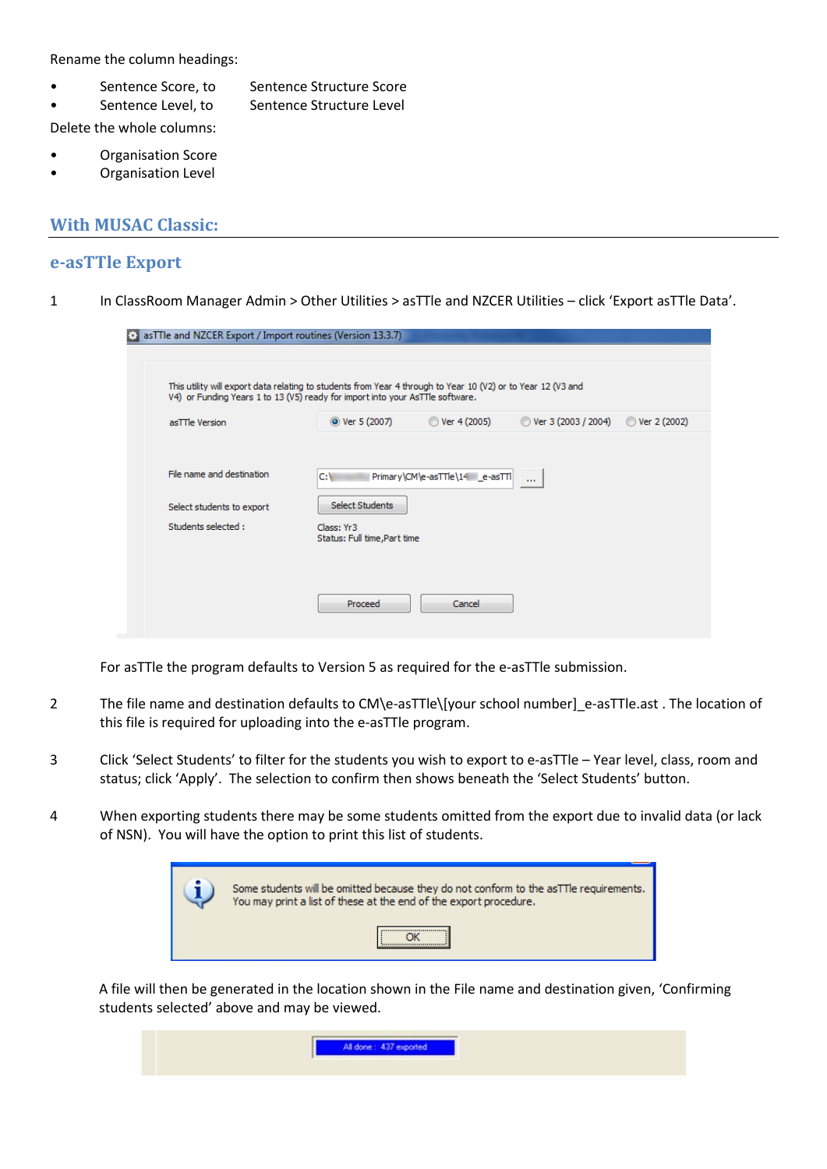Rename the column headings:

- Sentence Score, to Sentence Structure Score
- Sentence Level, to Sentence Structure Level
- Delete the whole columns:
- Organisation Score
- Organisation Level

### **With MUSAC Classic:**

### **e-asTTle Export**

1 In ClassRoom Manager Admin > Other Utilities > asTTle and NZCER Utilities – click 'Export asTTle Data'.

| as TTIe and NZCER Export / Import routines (Version 13.3.7)                                                                                                                                   |                                                                      |                                |                     |              |
|-----------------------------------------------------------------------------------------------------------------------------------------------------------------------------------------------|----------------------------------------------------------------------|--------------------------------|---------------------|--------------|
|                                                                                                                                                                                               |                                                                      |                                |                     |              |
| This utility will export data relating to students from Year 4 through to Year 10 (V2) or to Year 12 (V3 and<br>V4) or Funding Years 1 to 13 (V5) ready for import into your AsTTle software. |                                                                      |                                |                     |              |
| asTTle Version                                                                                                                                                                                | O Ver 5 (2007)                                                       | ◯ Ver 4 (2005)                 | Ver 3 (2003 / 2004) | Ver 2 (2002) |
| File name and destination<br>Select students to export<br>Students selected:                                                                                                                  | C:\<br>Select Students<br>Class: Yr3<br>Status: Full time, Part time | Primary\CM\e-asTTle\14 e-asTTl | <b>TELE</b>         |              |
|                                                                                                                                                                                               | Proceed                                                              | Cancel                         |                     |              |

For asTTle the program defaults to Version 5 as required for the e-asTTle submission.

- 2 The file name and destination defaults to CM\e-asTTle\[your school number] e-asTTle.ast . The location of this file is required for uploading into the e-asTTle program.
- 3 Click 'Select Students' to filter for the students you wish to export to e-asTTle Year level, class, room and status; click 'Apply'. The selection to confirm then shows beneath the 'Select Students' button.
- 4 When exporting students there may be some students omitted from the export due to invalid data (or lack of NSN). You will have the option to print this list of students.



A file will then be generated in the location shown in the File name and destination given, 'Confirming students selected' above and may be viewed.

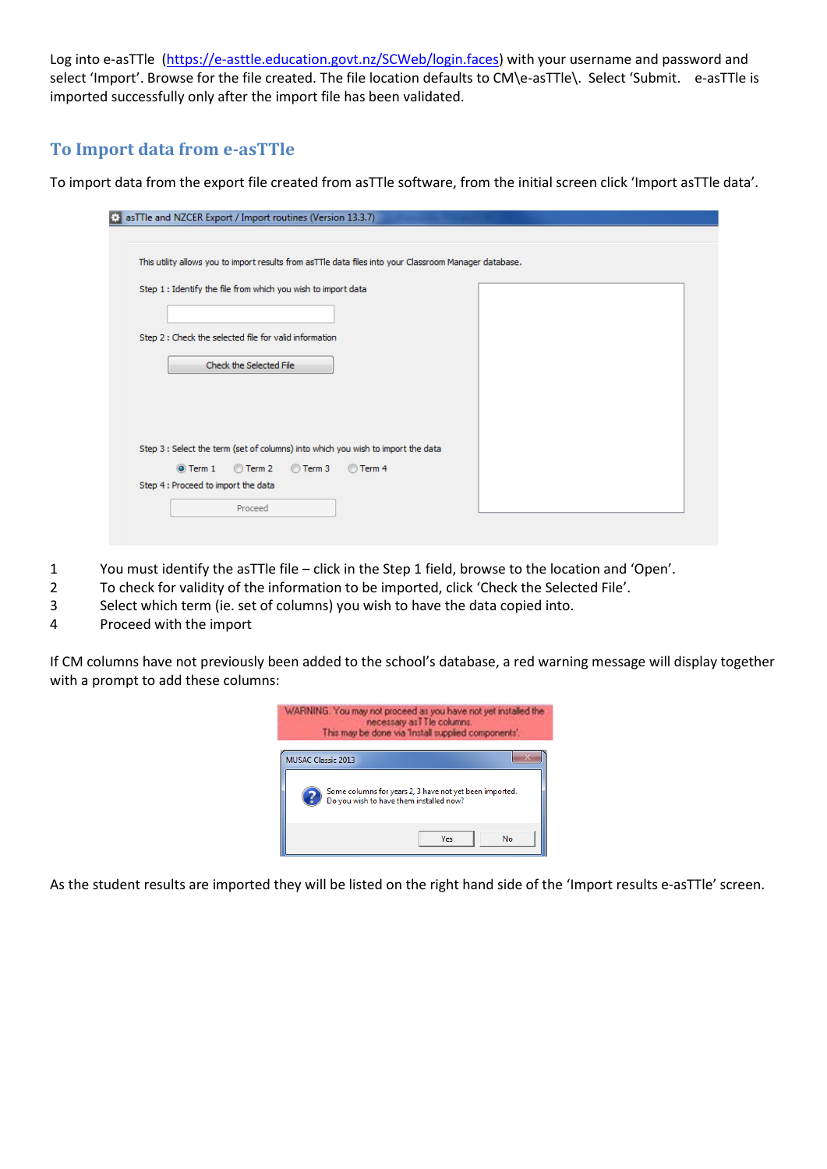Log into e-asTTle [\(https://e-asttle.education.govt.nz/SCWeb/login.faces\)](https://e-asttle.education.govt.nz/SCWeb/login.faces) with your username and password and select 'Import'. Browse for the file created. The file location defaults to CM\e-asTTle\. Select 'Submit. e-asTTle is imported successfully only after the import file has been validated.

# **To Import data from e-asTTle**

To import data from the export file created from asTTle software, from the initial screen click 'Import asTTle data'.

| <b><math>\bullet</math></b> as TTIe and NZCER Export / Import routines (Version 13.3.7)                |          |  |
|--------------------------------------------------------------------------------------------------------|----------|--|
| This utility allows you to import results from asTTIe data files into your Classroom Manager database. |          |  |
| Step 1 : Identify the file from which you wish to import data                                          |          |  |
|                                                                                                        |          |  |
| Step 2 : Check the selected file for valid information                                                 |          |  |
| Check the Selected File                                                                                |          |  |
|                                                                                                        |          |  |
|                                                                                                        |          |  |
|                                                                                                        |          |  |
| Step 3 : Select the term (set of columns) into which you wish to import the data                       |          |  |
| ◯ Term 2<br>O Term 3<br>$\odot$ Term 1                                                                 | O Term 4 |  |
|                                                                                                        |          |  |
| Step 4 : Proceed to import the data                                                                    |          |  |

- 1 You must identify the asTTle file click in the Step 1 field, browse to the location and 'Open'.
- 2 To check for validity of the information to be imported, click 'Check the Selected File'.
- 3 Select which term (ie. set of columns) you wish to have the data copied into.
- 4 Proceed with the import

If CM columns have not previously been added to the school's database, a red warning message will display together with a prompt to add these columns:



As the student results are imported they will be listed on the right hand side of the 'Import results e-asTTle' screen.